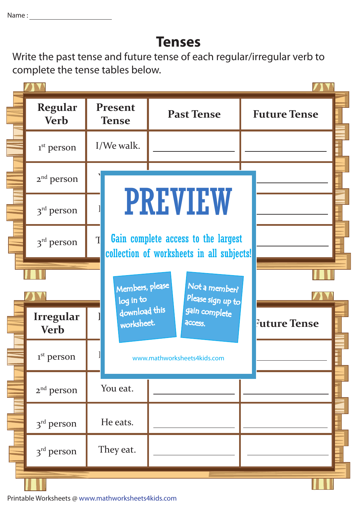## **Tenses**

Write the past tense and future tense of each regular/irregular verb to complete the tense tables below.

| Regular<br><b>Verb</b>   | Present<br><b>Tense</b> | <b>Past Tense</b>                                                                | <b>Future Tense</b> |
|--------------------------|-------------------------|----------------------------------------------------------------------------------|---------------------|
| 1 <sup>st</sup> person   | I/We walk.              |                                                                                  |                     |
| $2nd$ person             |                         |                                                                                  |                     |
| $3rd$ person             |                         | <b>PREVIEW</b>                                                                   |                     |
| $3rd$ person             | $\mathbf{T}$            | Gain complete access to the largest<br>collection of worksheets in all subjects! |                     |
|                          |                         |                                                                                  |                     |
|                          | log in to               | Members, please<br>Not a member?<br>Please sign up to                            |                     |
| Irregular<br><b>Verb</b> | worksheet.              | download this<br>gain complete<br>access.                                        | <b>Future Tense</b> |
| 1 <sup>st</sup> person   |                         | www.mathworksheets4kids.com                                                      |                     |
| $2nd$ person             | You eat.                |                                                                                  |                     |
| 3 <sup>rd</sup> person   | He eats.                |                                                                                  |                     |
| 3 <sup>rd</sup> person   | They eat.               |                                                                                  |                     |

Printable Worksheets @ www.mathworksheets4kids.com